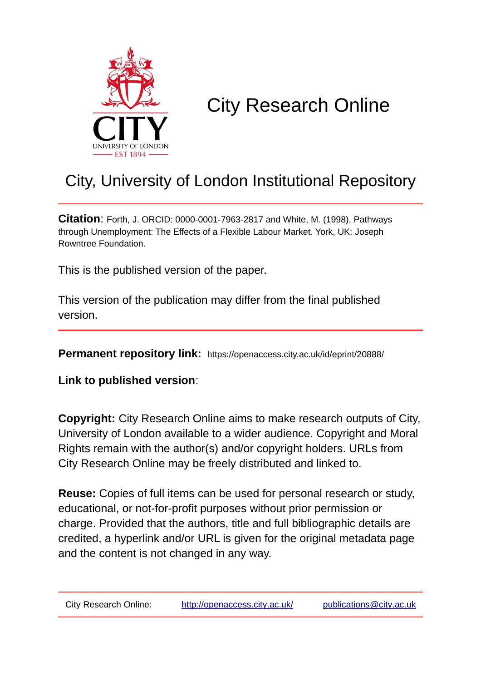

## City Research Online

### City, University of London Institutional Repository

**Citation**: Forth, J. ORCID: 0000-0001-7963-2817 and White, M. (1998). Pathways through Unemployment: The Effects of a Flexible Labour Market. York, UK: Joseph Rowntree Foundation.

This is the published version of the paper.

This version of the publication may differ from the final published version.

**Permanent repository link:** https://openaccess.city.ac.uk/id/eprint/20888/

**Link to published version**:

**Copyright:** City Research Online aims to make research outputs of City, University of London available to a wider audience. Copyright and Moral Rights remain with the author(s) and/or copyright holders. URLs from City Research Online may be freely distributed and linked to.

**Reuse:** Copies of full items can be used for personal research or study, educational, or not-for-profit purposes without prior permission or charge. Provided that the authors, title and full bibliographic details are credited, a hyperlink and/or URL is given for the original metadata page and the content is not changed in any way.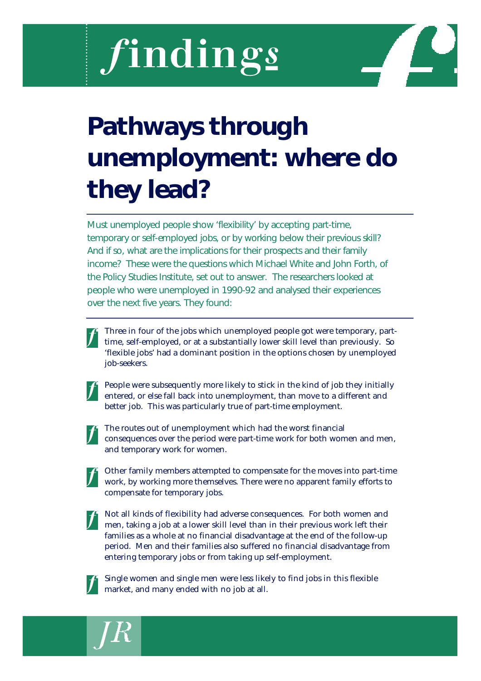# findings

## **Pathways through unemployment: where do they lead?**

**Must unemployed people show 'flexibility' by accepting part-time, temporary or self-employed jobs, or by working below their previous skill? And if so, what are the implications for their prospects and their family income? These were the questions which Michael White and John Forth, of the Policy Studies Institute, set out to answer. The researchers looked at people who were unemployed in 1990-92 and analysed their experiences over the next five years. They found:**

**Three in four of the jobs which unemployed people got were temporary, parttime, self-employed, or at a substantially lower skill level than previously. So 'flexible jobs' had a dominant position in the options chosen by unemployed job-seekers.**

**People were subsequently more likely to stick in the kind of job they initially entered, or else fall back into unemployment, than move to a different and better job. This was particularly true of part-time employment.**

**The routes out of unemployment which had the worst financial consequences over the period were part-time work for both women and men, and temporary work for women.**

**Other family members attempted to compensate for the moves into part-time work, by working more themselves. There were no apparent family efforts to compensate for temporary jobs.**

**Not all kinds of flexibility had adverse consequences. For both women and men, taking a job at a lower skill level than in their previous work left their families as a whole at no financial disadvantage at the end of the follow-up period. Men and their families also suffered no financial disadvantage from entering temporary jobs or from taking up self-employment.**



**Single women and single men were less likely to find jobs in this flexible market, and many ended with no job at all.**

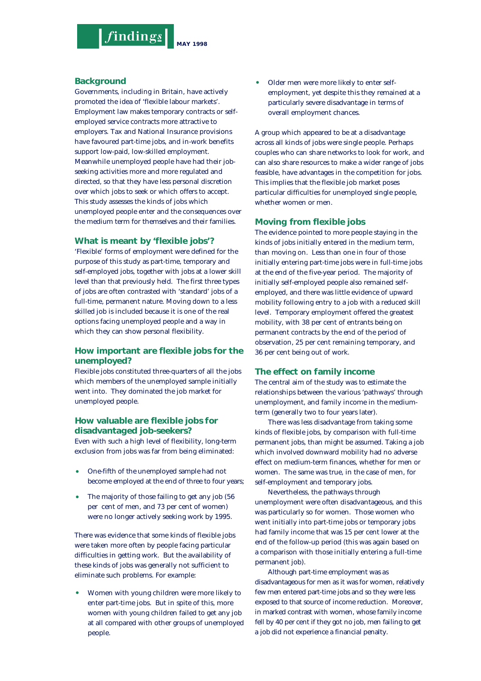#### **Background**

Governments, including in Britain, have actively promoted the idea of 'flexible labour markets'. Employment law makes temporary contracts or selfemployed service contracts more attractive to employers. Tax and National Insurance provisions have favoured part-time jobs, and in-work benefits support low-paid, low-skilled employment. Meanwhile unemployed people have had their jobseeking activities more and more regulated and directed, so that they have less personal discretion over which jobs to seek or which offers to accept. This study assesses the kinds of jobs which unemployed people enter and the consequences over the medium term for themselves and their families.

#### **What is meant by 'flexible jobs'?**

'Flexible' forms of employment were defined for the purpose of this study as part-time, temporary and self-employed jobs, together with jobs at a lower skill level than that previously held. The first three types of jobs are often contrasted with 'standard' jobs of a full-time, permanent nature. Moving down to a less skilled job is included because it is one of the real options facing unemployed people and a way in which they can show personal flexibility.

#### **How important are flexible jobs for the unemployed?**

Flexible jobs constituted three-quarters of all the jobs which members of the unemployed sample initially went into. They dominated the job market for unemployed people.

#### **How valuable are flexible jobs for disadvantaged job-seekers?**

Even with such a high level of flexibility, long-term exclusion from jobs was far from being eliminated:

- One-fifth of the unemployed sample had not become employed at the end of three to four years;
- The majority of those failing to get any job (56 per cent of men, and 73 per cent of women) were no longer actively seeking work by 1995.

There was evidence that some kinds of flexible jobs were taken more often by people facing particular difficulties in getting work. But the availability of these kinds of jobs was generally not sufficient to eliminate such problems. For example:

• Women with young children were more likely to enter part-time jobs. But in spite of this, more women with young children failed to get any job at all compared with other groups of unemployed people.

• Older men were more likely to enter selfemployment, yet despite this they remained at a particularly severe disadvantage in terms of overall employment chances.

A group which appeared to be at a disadvantage across all kinds of jobs were single people. Perhaps couples who can share networks to look for work, and can also share resources to make a wider range of jobs feasible, have advantages in the competition for jobs. This implies that the flexible job market poses particular difficulties for unemployed single people, whether women or men.

#### **Moving from flexible jobs**

The evidence pointed to more people staying in the kinds of jobs initially entered in the medium term, than moving on. Less than one in four of those initially entering part-time jobs were in full-time jobs at the end of the five-year period. The majority of initially self-employed people also remained selfemployed, and there was little evidence of upward mobility following entry to a job with a reduced skill level. Temporary employment offered the greatest mobility, with 38 per cent of entrants being on permanent contracts by the end of the period of observation, 25 per cent remaining temporary, and 36 per cent being out of work.

#### **The effect on family income**

The central aim of the study was to estimate the relationships between the various 'pathways' through unemployment, and family income in the mediumterm (generally two to four years later).

There was less disadvantage from taking some kinds of flexible jobs, by comparison with full-time permanent jobs, than might be assumed. Taking a job which involved downward mobility had no adverse effect on medium-term finances, whether for men or women. The same was true, in the case of men, for self-employment and temporary jobs.

Nevertheless, the pathways through unemployment were often disadvantageous, and this was particularly so for women. Those women who went initially into part-time jobs or temporary jobs had family income that was 15 per cent lower at the end of the follow-up period (this was again based on a comparison with those initially entering a full-time permanent job).

Although part-time employment was as disadvantageous for men as it was for women, relatively few men entered part-time jobs and so they were less exposed to that source of income reduction. Moreover, in marked contrast with women, whose family income fell by 40 per cent if they got no job, men failing to get a job did not experience a financial penalty.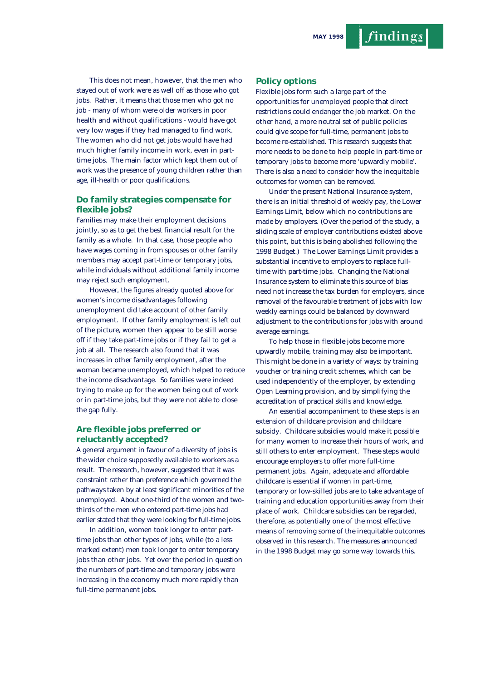This does not mean, however, that the men who stayed out of work were as well off as those who got jobs. Rather, it means that those men who got no job - many of whom were older workers in poor health and without qualifications - would have got very low wages if they had managed to find work. The women who did not get jobs would have had much higher family income in work, even in parttime jobs. The main factor which kept them out of work was the presence of young children rather than age, ill-health or poor qualifications.

#### **Do family strategies compensate for flexible jobs?**

Families may make their employment decisions jointly, so as to get the best financial result for the family as a whole. In that case, those people who have wages coming in from spouses or other family members may accept part-time or temporary jobs, while individuals without additional family income may reject such employment.

However, the figures already quoted above for women's income disadvantages following unemployment did take account of other family employment. If other family employment is left out of the picture, women then appear to be still worse off if they take part-time jobs or if they fail to get a job at all. The research also found that it was increases in other family employment, after the woman became unemployed, which helped to reduce the income disadvantage. So families were indeed trying to make up for the women being out of work or in part-time jobs, but they were not able to close the gap fully.

#### **Are flexible jobs preferred or reluctantly accepted?**

A general argument in favour of a diversity of jobs is the wider choice supposedly available to workers as a result. The research, however, suggested that it was constraint rather than preference which governed the pathways taken by at least significant minorities of the unemployed. About one-third of the women and twothirds of the men who entered part-time jobs had earlier stated that they were looking for full-time jobs.

In addition, women took longer to enter parttime jobs than other types of jobs, while (to a less marked extent) men took longer to enter temporary jobs than other jobs. Yet over the period in question the numbers of part-time and temporary jobs were increasing in the economy much more rapidly than full-time permanent jobs.

#### **Policy options**

Flexible jobs form such a large part of the opportunities for unemployed people that direct restrictions could endanger the job market. On the other hand, a more neutral set of public policies could give scope for full-time, permanent jobs to become re-established. This research suggests that more needs to be done to help people in part-time or temporary jobs to become more 'upwardly mobile'. There is also a need to consider how the inequitable outcomes for women can be removed.

Under the present National Insurance system, there is an initial threshold of weekly pay, the Lower Earnings Limit, below which no contributions are made by employers. (Over the period of the study, a sliding scale of employer contributions existed above this point, but this is being abolished following the 1998 Budget.) The Lower Earnings Limit provides a substantial incentive to employers to replace fulltime with part-time jobs. Changing the National Insurance system to eliminate this source of bias need not increase the tax burden for employers, since removal of the favourable treatment of jobs with low weekly earnings could be balanced by downward adjustment to the contributions for jobs with around average earnings.

To help those in flexible jobs become more upwardly mobile, training may also be important. This might be done in a variety of ways: by training voucher or training credit schemes, which can be used independently of the employer, by extending Open Learning provision, and by simplifying the accreditation of practical skills and knowledge.

An essential accompaniment to these steps is an extension of childcare provision and childcare subsidy. Childcare subsidies would make it possible for many women to increase their hours of work, and still others to enter employment. These steps would encourage employers to offer more full-time permanent jobs. Again, adequate and affordable childcare is essential if women in part-time, temporary or low-skilled jobs are to take advantage of training and education opportunities away from their place of work. Childcare subsidies can be regarded, therefore, as potentially one of the most effective means of removing some of the inequitable outcomes observed in this research. The measures announced in the 1998 Budget may go some way towards this.